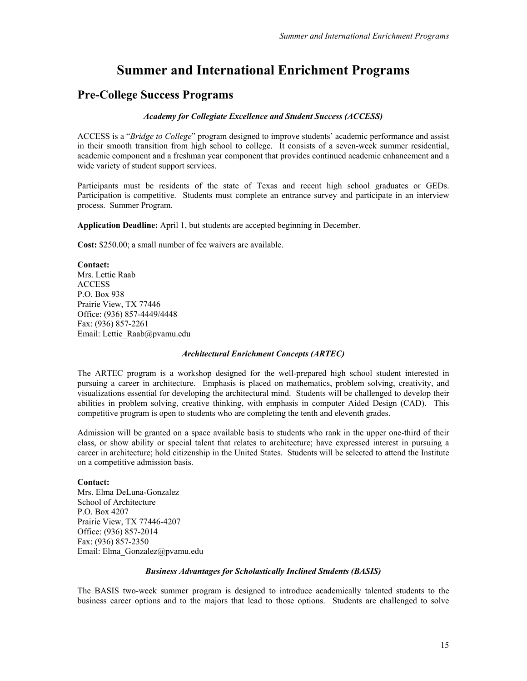# **Summer and International Enrichment Programs**

# **Pre-College Success Programs**

*Academy for Collegiate Excellence and Student Success (ACCESS)* 

ACCESS is a "*Bridge to College*" program designed to improve students' academic performance and assist in their smooth transition from high school to college. It consists of a seven-week summer residential, academic component and a freshman year component that provides continued academic enhancement and a wide variety of student support services.

Participants must be residents of the state of Texas and recent high school graduates or GEDs. Participation is competitive. Students must complete an entrance survey and participate in an interview process. Summer Program.

**Application Deadline:** April 1, but students are accepted beginning in December.

**Cost:** \$250.00; a small number of fee waivers are available.

### **Contact:**

Mrs. Lettie Raab ACCESS P.O. Box 938 Prairie View, TX 77446 Office: (936) 857-4449/4448 Fax: (936) 857-2261 Email: Lettie\_Raab@pvamu.edu

### *Architectural Enrichment Concepts (ARTEC)*

The ARTEC program is a workshop designed for the well-prepared high school student interested in pursuing a career in architecture. Emphasis is placed on mathematics, problem solving, creativity, and visualizations essential for developing the architectural mind. Students will be challenged to develop their abilities in problem solving, creative thinking, with emphasis in computer Aided Design (CAD). This competitive program is open to students who are completing the tenth and eleventh grades.

Admission will be granted on a space available basis to students who rank in the upper one-third of their class, or show ability or special talent that relates to architecture; have expressed interest in pursuing a career in architecture; hold citizenship in the United States. Students will be selected to attend the Institute on a competitive admission basis.

### **Contact:**

Mrs. Elma DeLuna-Gonzalez School of Architecture P.O. Box 4207 Prairie View, TX 77446-4207 Office: (936) 857-2014 Fax: (936) 857-2350 Email: Elma\_Gonzalez@pvamu.edu

### *Business Advantages for Scholastically Inclined Students (BASIS)*

The BASIS two-week summer program is designed to introduce academically talented students to the business career options and to the majors that lead to those options. Students are challenged to solve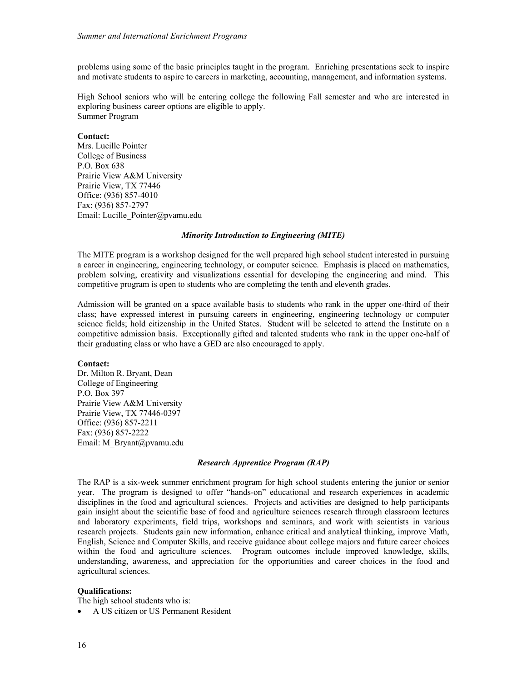problems using some of the basic principles taught in the program. Enriching presentations seek to inspire and motivate students to aspire to careers in marketing, accounting, management, and information systems.

High School seniors who will be entering college the following Fall semester and who are interested in exploring business career options are eligible to apply. Summer Program

#### **Contact:**

Mrs. Lucille Pointer College of Business P.O. Box 638 Prairie View A&M University Prairie View, TX 77446 Office: (936) 857-4010 Fax: (936) 857-2797 Email: Lucille\_Pointer@pvamu.edu

#### *Minority Introduction to Engineering (MITE)*

The MITE program is a workshop designed for the well prepared high school student interested in pursuing a career in engineering, engineering technology, or computer science. Emphasis is placed on mathematics, problem solving, creativity and visualizations essential for developing the engineering and mind. This competitive program is open to students who are completing the tenth and eleventh grades.

Admission will be granted on a space available basis to students who rank in the upper one-third of their class; have expressed interest in pursuing careers in engineering, engineering technology or computer science fields; hold citizenship in the United States. Student will be selected to attend the Institute on a competitive admission basis. Exceptionally gifted and talented students who rank in the upper one-half of their graduating class or who have a GED are also encouraged to apply.

### **Contact:**

Dr. Milton R. Bryant, Dean College of Engineering P.O. Box 397 Prairie View A&M University Prairie View, TX 77446-0397 Office: (936) 857-2211 Fax: (936) 857-2222 Email: M\_Bryant@pvamu.edu

### *Research Apprentice Program (RAP)*

The RAP is a six-week summer enrichment program for high school students entering the junior or senior year. The program is designed to offer "hands-on" educational and research experiences in academic disciplines in the food and agricultural sciences. Projects and activities are designed to help participants gain insight about the scientific base of food and agriculture sciences research through classroom lectures and laboratory experiments, field trips, workshops and seminars, and work with scientists in various research projects. Students gain new information, enhance critical and analytical thinking, improve Math, English, Science and Computer Skills, and receive guidance about college majors and future career choices within the food and agriculture sciences. Program outcomes include improved knowledge, skills, understanding, awareness, and appreciation for the opportunities and career choices in the food and agricultural sciences.

### **Qualifications:**

The high school students who is:

• A US citizen or US Permanent Resident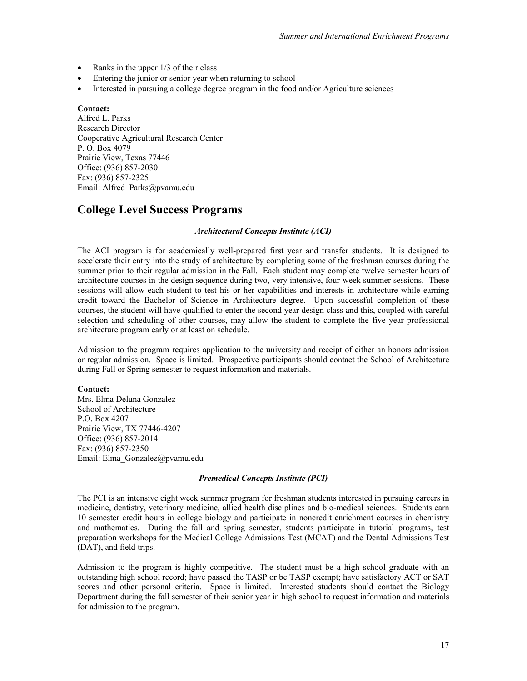- Ranks in the upper  $1/3$  of their class
- Entering the junior or senior year when returning to school
- Interested in pursuing a college degree program in the food and/or Agriculture sciences

### **Contact:**

Alfred L. Parks Research Director Cooperative Agricultural Research Center P. O. Box 4079 Prairie View, Texas 77446 Office: (936) 857-2030 Fax: (936) 857-2325 Email: Alfred\_Parks@pvamu.edu

# **College Level Success Programs**

### *Architectural Concepts Institute (ACI)*

The ACI program is for academically well-prepared first year and transfer students. It is designed to accelerate their entry into the study of architecture by completing some of the freshman courses during the summer prior to their regular admission in the Fall. Each student may complete twelve semester hours of architecture courses in the design sequence during two, very intensive, four-week summer sessions. These sessions will allow each student to test his or her capabilities and interests in architecture while earning credit toward the Bachelor of Science in Architecture degree. Upon successful completion of these courses, the student will have qualified to enter the second year design class and this, coupled with careful selection and scheduling of other courses, may allow the student to complete the five year professional architecture program early or at least on schedule.

Admission to the program requires application to the university and receipt of either an honors admission or regular admission. Space is limited. Prospective participants should contact the School of Architecture during Fall or Spring semester to request information and materials.

### **Contact:**

Mrs. Elma Deluna Gonzalez School of Architecture P.O. Box 4207 Prairie View, TX 77446-4207 Office: (936) 857-2014 Fax: (936) 857-2350 Email: Elma\_Gonzalez@pvamu.edu

### *Premedical Concepts Institute (PCI)*

The PCI is an intensive eight week summer program for freshman students interested in pursuing careers in medicine, dentistry, veterinary medicine, allied health disciplines and bio-medical sciences. Students earn 10 semester credit hours in college biology and participate in noncredit enrichment courses in chemistry and mathematics. During the fall and spring semester, students participate in tutorial programs, test preparation workshops for the Medical College Admissions Test (MCAT) and the Dental Admissions Test (DAT), and field trips.

Admission to the program is highly competitive. The student must be a high school graduate with an outstanding high school record; have passed the TASP or be TASP exempt; have satisfactory ACT or SAT scores and other personal criteria. Space is limited. Interested students should contact the Biology Department during the fall semester of their senior year in high school to request information and materials for admission to the program.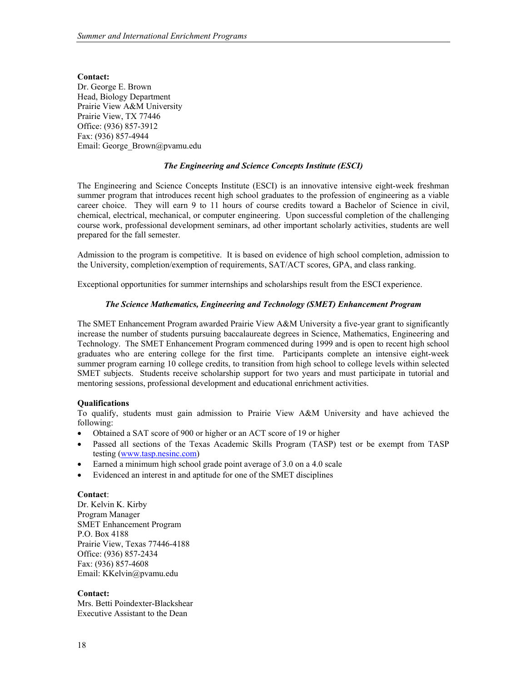**Contact:**  Dr. George E. Brown Head, Biology Department Prairie View A&M University Prairie View, TX 77446 Office: (936) 857-3912 Fax: (936) 857-4944 Email: George\_Brown@pvamu.edu

## *The Engineering and Science Concepts Institute (ESCI)*

The Engineering and Science Concepts Institute (ESCI) is an innovative intensive eight-week freshman summer program that introduces recent high school graduates to the profession of engineering as a viable career choice. They will earn 9 to 11 hours of course credits toward a Bachelor of Science in civil, chemical, electrical, mechanical, or computer engineering. Upon successful completion of the challenging course work, professional development seminars, ad other important scholarly activities, students are well prepared for the fall semester.

Admission to the program is competitive. It is based on evidence of high school completion, admission to the University, completion/exemption of requirements, SAT/ACT scores, GPA, and class ranking.

Exceptional opportunities for summer internships and scholarships result from the ESCI experience.

### *The Science Mathematics, Engineering and Technology (SMET) Enhancement Program*

The SMET Enhancement Program awarded Prairie View A&M University a five-year grant to significantly increase the number of students pursuing baccalaureate degrees in Science, Mathematics, Engineering and Technology. The SMET Enhancement Program commenced during 1999 and is open to recent high school graduates who are entering college for the first time. Participants complete an intensive eight-week summer program earning 10 college credits, to transition from high school to college levels within selected SMET subjects. Students receive scholarship support for two years and must participate in tutorial and mentoring sessions, professional development and educational enrichment activities.

### **Qualifications**

To qualify, students must gain admission to Prairie View A&M University and have achieved the following:

- Obtained a SAT score of 900 or higher or an ACT score of 19 or higher
- Passed all sections of the Texas Academic Skills Program (TASP) test or be exempt from TASP testing (www.tasp.nesinc.com)
- Earned a minimum high school grade point average of 3.0 on a 4.0 scale
- Evidenced an interest in and aptitude for one of the SMET disciplines

### **Contact**:

Dr. Kelvin K. Kirby Program Manager SMET Enhancement Program P.O. Box 4188 Prairie View, Texas 77446-4188 Office: (936) 857-2434 Fax: (936) 857-4608 Email: KKelvin@pvamu.edu

### **Contact:**

Mrs. Betti Poindexter-Blackshear Executive Assistant to the Dean